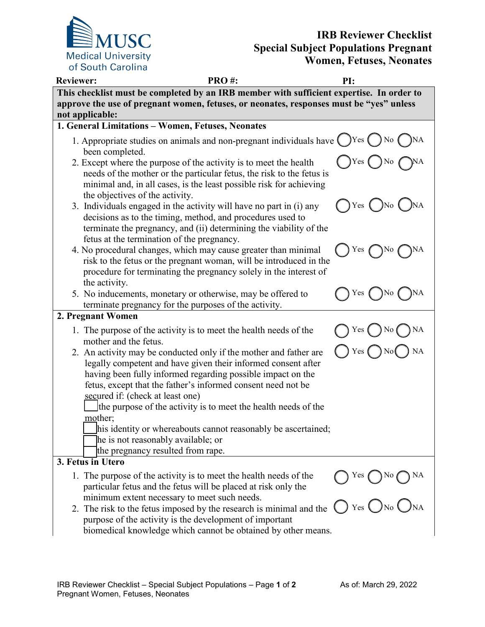

## **IRB Reviewer Checklist Special Subject Populations Pregnant Women, Fetuses, Neonates**

| <b>Reviewer:</b>                 | <b>PRO#:</b>                                                                                                                                                                                                                                                      | PI:                        |
|----------------------------------|-------------------------------------------------------------------------------------------------------------------------------------------------------------------------------------------------------------------------------------------------------------------|----------------------------|
|                                  | This checklist must be completed by an IRB member with sufficient expertise. In order to                                                                                                                                                                          |                            |
| not applicable:                  | approve the use of pregnant women, fetuses, or neonates, responses must be "yes" unless                                                                                                                                                                           |                            |
|                                  | 1. General Limitations - Women, Fetuses, Neonates                                                                                                                                                                                                                 |                            |
| been completed.                  | 1. Appropriate studies on animals and non-pregnant individuals have $\bigcirc$ Yes $\bigcirc$ No $\bigcirc$                                                                                                                                                       |                            |
| the objectives of the activity.  | 2. Except where the purpose of the activity is to meet the health<br>needs of the mother or the particular fetus, the risk to the fetus is<br>minimal and, in all cases, is the least possible risk for achieving                                                 | Yes                        |
|                                  | 3. Individuals engaged in the activity will have no part in (i) any<br>decisions as to the timing, method, and procedures used to<br>terminate the pregnancy, and (ii) determining the viability of the<br>fetus at the termination of the pregnancy.             | $)$ Yes ( )No              |
| the activity.                    | 4. No procedural changes, which may cause greater than minimal<br>risk to the fetus or the pregnant woman, will be introduced in the<br>procedure for terminating the pregnancy solely in the interest of                                                         | Yes<br>) No                |
|                                  | 5. No inducements, monetary or otherwise, may be offered to<br>terminate pregnancy for the purposes of the activity.                                                                                                                                              | Yes<br>No                  |
| 2. Pregnant Women                |                                                                                                                                                                                                                                                                   |                            |
| mother and the fetus.            | 1. The purpose of the activity is to meet the health needs of the                                                                                                                                                                                                 | Yes<br>NA<br>No            |
| secured if: (check at least one) | 2. An activity may be conducted only if the mother and father are<br>legally competent and have given their informed consent after<br>having been fully informed regarding possible impact on the<br>fetus, except that the father's informed consent need not be | <b>NA</b>                  |
|                                  | the purpose of the activity is to meet the health needs of the                                                                                                                                                                                                    |                            |
| mother;                          | his identity or whereabouts cannot reasonably be ascertained;<br>he is not reasonably available; or<br>the pregnancy resulted from rape.                                                                                                                          |                            |
| 3. Fetus in Utero                |                                                                                                                                                                                                                                                                   |                            |
|                                  | 1. The purpose of the activity is to meet the health needs of the<br>particular fetus and the fetus will be placed at risk only the                                                                                                                               | Yes (<br>) No (            |
|                                  | minimum extent necessary to meet such needs.<br>2. The risk to the fetus imposed by the research is minimal and the<br>purpose of the activity is the development of important<br>biomedical knowledge which cannot be obtained by other means.                   | Yes $\bigcup$ No $\bigcup$ |